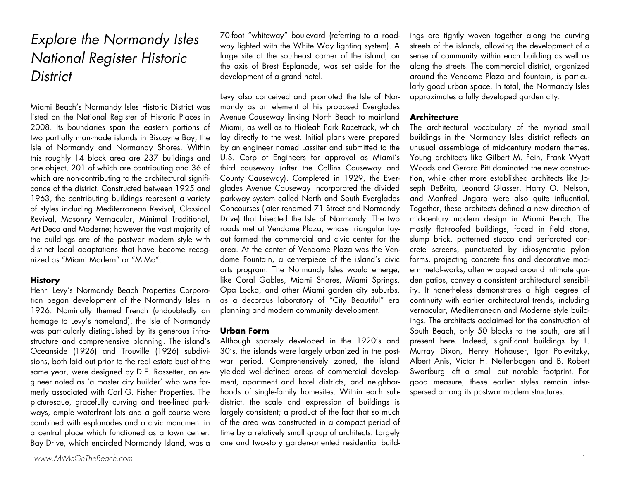## Explore the Normandy Isles National Register Historic **District**

Miami Beach's Normandy Isles Historic District was listed on the National Register of Historic Places in 2008. Its boundaries span the eastern portions of two partially man-made islands in Biscayne Bay, the Isle of Normandy and Normandy Shores. Within this roughly 14 block area are 237 buildings and one object, 201 of which are contributing and 36 of which are non-contributing to the architectural significance of the district. Constructed between 1925 and 1963, the contributing buildings represent a variety of styles including Mediterranean Revival, Classical Revival, Masonry Vernacular, Minimal Traditional, Art Deco and Moderne; however the vast majority of the buildings are of the postwar modern style with distinct local adaptations that have become recognized as "Miami Modern" or "MiMo".

## **History**

Henri Levy's Normandy Beach Properties Corporation began development of the Normandy Isles in 1926. Nominally themed French (undoubtedly an homage to Levy's homeland), the Isle of Normandy was particularly distinguished by its generous infrastructure and comprehensive planning. The island's Oceanside (1926) and Trouville (1926) subdivisions, both laid out prior to the real estate bust of the same year, were designed by D.E. Rossetter, an engineer noted as 'a master city builder' who was formerly associated with Carl G. Fisher Properties. The picturesque, gracefully curving and tree-lined parkways, ample waterfront lots and a golf course were combined with esplanades and a civic monument in a central place which functioned as a town center. Bay Drive, which encircled Normandy Island, was a 70-foot "whiteway" boulevard (referring to a roadway lighted with the White Way lighting system). A large site at the southeast corner of the island, on the axis of Brest Esplanade, was set aside for the development of a grand hotel.

Levy also conceived and promoted the Isle of Normandy as an element of his proposed Everglades Avenue Causeway linking North Beach to mainland Miami, as well as to Hialeah Park Racetrack, which lay directly to the west. Initial plans were prepared by an engineer named Lassiter and submitted to the U.S. Corp of Engineers for approval as Miami's third causeway (after the Collins Causeway and County Causeway). Completed in 1929, the Ever<sup>g</sup>lades Avenue Causeway incorporated the divided parkway system called North and South Everglades Concourses (later renamed 71 Street and Normandy Drive) that bisected the Isle of Normandy. The two roads met at Vendome Plaza, whose triangular layout formed the commercial and civic center for the area. At the center of Vendome Plaza was the Vendome Fountain, a centerpiece of the island's civic arts program. The Normandy Isles would emerge, like Coral Gables, Miami Shores, Miami Springs, Opa Locka, and other Miami garden city suburbs, as a decorous laboratory of "City Beautiful" era <sup>p</sup>lanning and modern community development.

## **Urban Form**

Although sparsely developed in the 1920's and 30's, the islands were largely urbanized in the postwar period. Comprehensively zoned, the island yielded well-defined areas of commercial development, apartment and hotel districts, and neighborhoods of single-family homesites. Within each subdistrict, the scale and expression of buildings is largely consistent; a product of the fact that so much of the area was constructed in a compact period of time by a relatively small group of architects. Largely one and two-story garden-oriented residential buildings are tightly woven together along the curving<br>streets of the islands, allowing the development of a<br>sense of community within each building as well as<br>along the streets. The commercial district, organized<br>around the Ve larly good urban space. In total, the Normandy Isles approximates a fully developed garden city.

## **Architecture**

The architectural vocabulary of the myriad small<br>buildings in the Normandy Isles district reflects an<br>unusual assemblage of mid-century modern themes.<br>Young architects like Gilbert M. Fein, Frank Wyatt<br>Woods and Gerard Pit tion, while other more established architects like Jo seph DeBrita, Leonard Glasser, Harry O. Nelson,<br>and Manfred Ungaro were also quite influential.<br>Together, these architects defined a new direction of<br>mid-century modern design in Miami Beach. The<br>mostly flat-roofed buildin crete screens, punctuated by idiosyncratic pylon forms, projecting concrete fins and decorative mod ern metal-works, often wrapped around intimate gar den patios, convey a consistent architectural sensibil ity. It nonetheless demonstrates a high degree of continuity with earlier architectural trends, including vernacular, Mediterranean and Moderne style build ings. The architects acclaimed for the construction of<br>South Beach, only 50 blocks to the south, are still<br>present here. Indeed, significant buildings by L.<br>Murray Dixon, Henry Hohauser, Igor Polevitzky,<br>Albert Anis, Victo spersed among its postwar modern structures.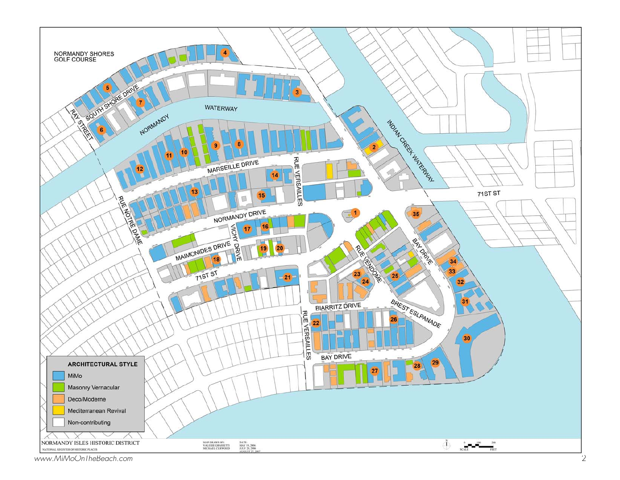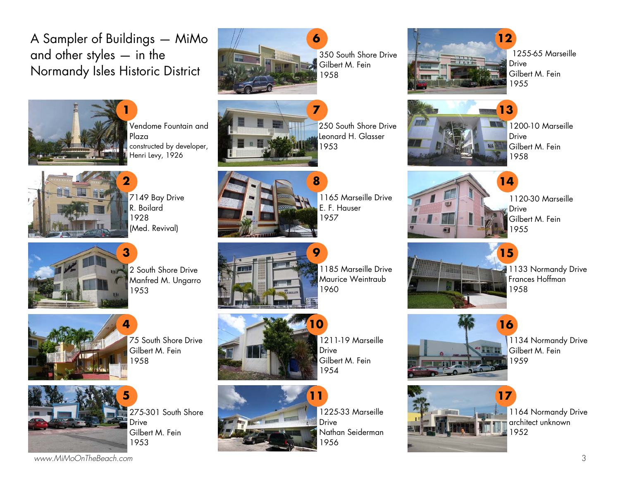A Sampler of Buildings — MiMo and other styles — in the Normandy Isles Historic District



Vendome Fountain and Plaza constructed by developer, Henri Levy, 1926



7149 Bay Drive R. Boilard 1928 (Med. Revival)



2 South Shore Drive Manfred M. Ungarro 1953



75 South Shore Drive Gilbert M. Fein 1958



275-301 South Shore Drive Gilbert M. Fein 1953



350 South Shore Drive Gilbert M. Fein 1958



250 South Shore Drive Leonard H. Glasser 1953

**7** 



1165 Marseille Drive E. F. Hauser 1957



1185 Marseille Drive Maurice Weintraub 1960



1211-19 Marseille **Drive** Gilbert M. Fein 1954



1225-33 Marseille Drive Nathan Seiderman 1956



1255-65 Marseille **Drive** Gilbert M. Fein 1955



1200-10 Marseille **Drive** Gilbert M. Fein 1958



1120-30 Marseille Drive Gilbert M. Fein 1955

**15** 

**14** 



1133 Normandy Drive Frances Hoffman 1958



1134 Normandy Drive Gilbert M. Fein 1959



1164 Normandy Drive architect unknown